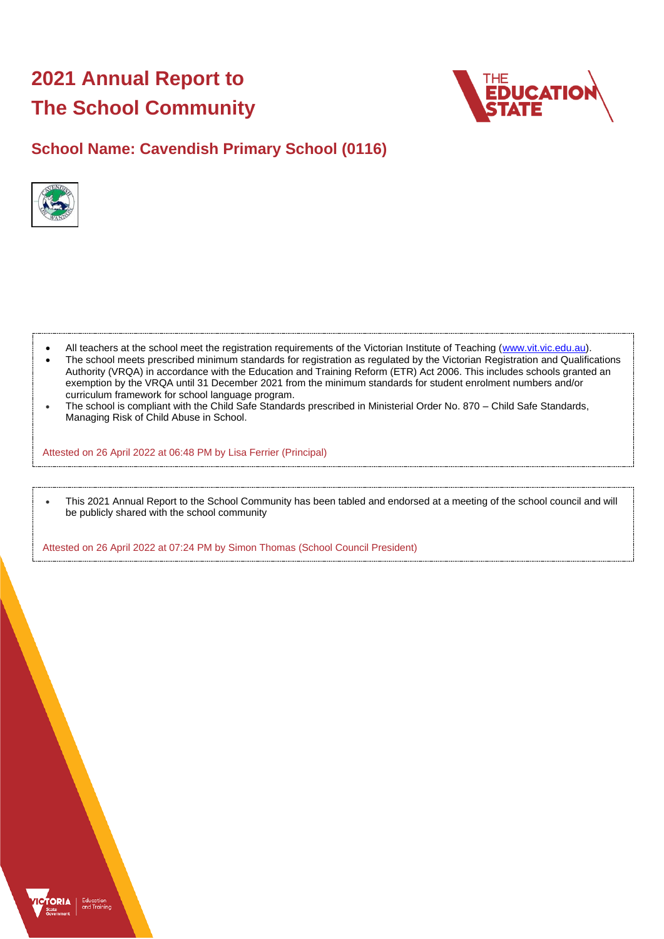# **2021 Annual Report to The School Community**



# **School Name: Cavendish Primary School (0116)**



- All teachers at the school meet the registration requirements of the Victorian Institute of Teaching [\(www.vit.vic.edu.au\)](https://www.vit.vic.edu.au/).
- The school meets prescribed minimum standards for registration as regulated by the Victorian Registration and Qualifications Authority (VRQA) in accordance with the Education and Training Reform (ETR) Act 2006. This includes schools granted an exemption by the VRQA until 31 December 2021 from the minimum standards for student enrolment numbers and/or curriculum framework for school language program.
- The school is compliant with the Child Safe Standards prescribed in Ministerial Order No. 870 Child Safe Standards, Managing Risk of Child Abuse in School.

Attested on 26 April 2022 at 06:48 PM by Lisa Ferrier (Principal)

• This 2021 Annual Report to the School Community has been tabled and endorsed at a meeting of the school council and will be publicly shared with the school community

Attested on 26 April 2022 at 07:24 PM by Simon Thomas (School Council President)

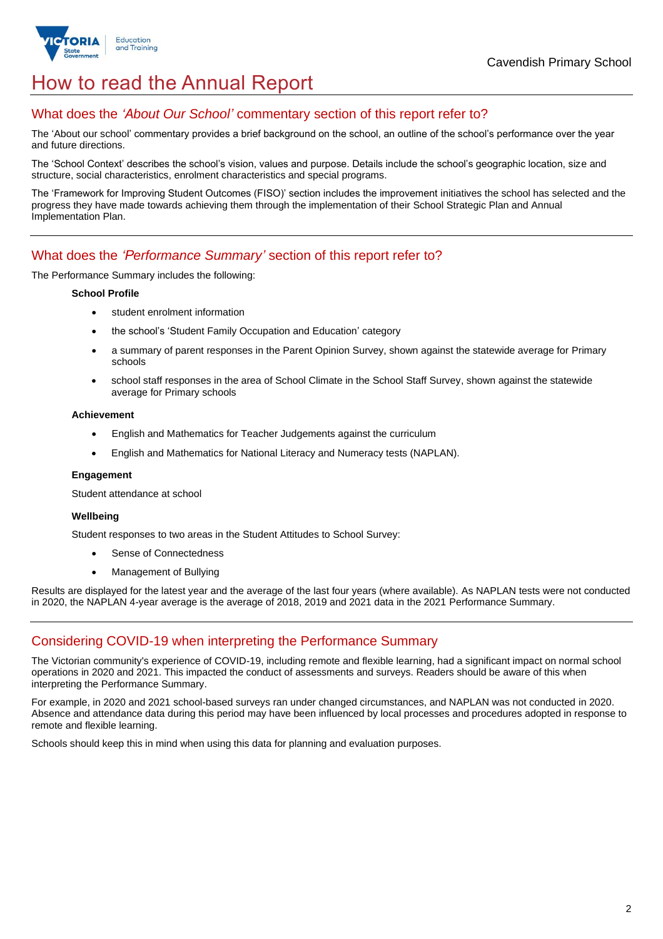

# How to read the Annual Report

### What does the *'About Our School'* commentary section of this report refer to?

The 'About our school' commentary provides a brief background on the school, an outline of the school's performance over the year and future directions.

The 'School Context' describes the school's vision, values and purpose. Details include the school's geographic location, size and structure, social characteristics, enrolment characteristics and special programs.

The 'Framework for Improving Student Outcomes (FISO)' section includes the improvement initiatives the school has selected and the progress they have made towards achieving them through the implementation of their School Strategic Plan and Annual Implementation Plan.

### What does the *'Performance Summary'* section of this report refer to?

The Performance Summary includes the following:

#### **School Profile**

- student enrolment information
- the school's 'Student Family Occupation and Education' category
- a summary of parent responses in the Parent Opinion Survey, shown against the statewide average for Primary schools
- school staff responses in the area of School Climate in the School Staff Survey, shown against the statewide average for Primary schools

#### **Achievement**

- English and Mathematics for Teacher Judgements against the curriculum
- English and Mathematics for National Literacy and Numeracy tests (NAPLAN).

### **Engagement**

Student attendance at school

### **Wellbeing**

Student responses to two areas in the Student Attitudes to School Survey:

- Sense of Connectedness
- Management of Bullying

Results are displayed for the latest year and the average of the last four years (where available). As NAPLAN tests were not conducted in 2020, the NAPLAN 4-year average is the average of 2018, 2019 and 2021 data in the 2021 Performance Summary.

## Considering COVID-19 when interpreting the Performance Summary

The Victorian community's experience of COVID-19, including remote and flexible learning, had a significant impact on normal school operations in 2020 and 2021. This impacted the conduct of assessments and surveys. Readers should be aware of this when interpreting the Performance Summary.

For example, in 2020 and 2021 school-based surveys ran under changed circumstances, and NAPLAN was not conducted in 2020. Absence and attendance data during this period may have been influenced by local processes and procedures adopted in response to remote and flexible learning.

Schools should keep this in mind when using this data for planning and evaluation purposes.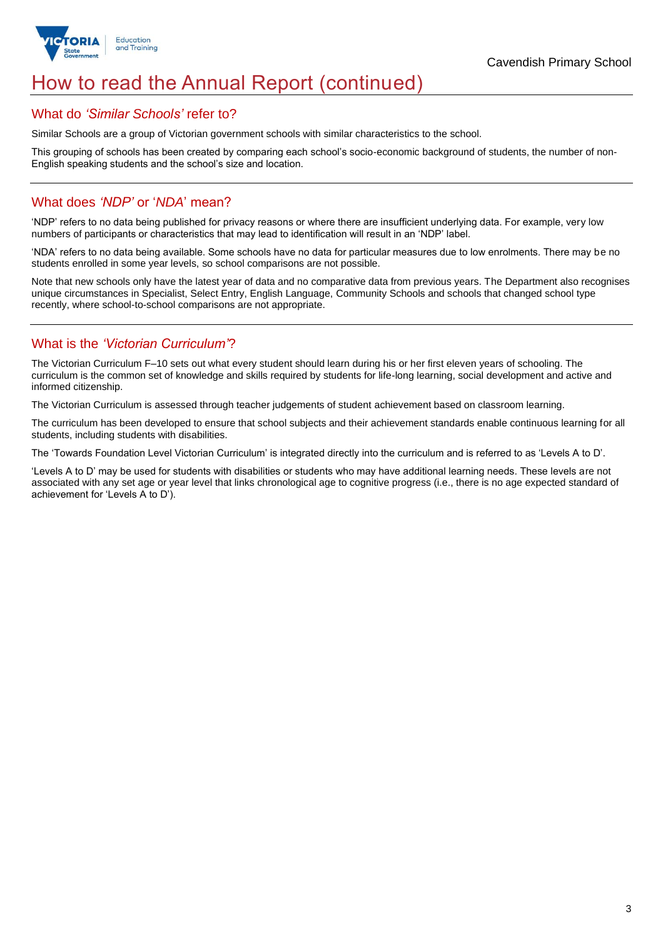

# How to read the Annual Report (continued)

### What do *'Similar Schools'* refer to?

Similar Schools are a group of Victorian government schools with similar characteristics to the school.

This grouping of schools has been created by comparing each school's socio-economic background of students, the number of non-English speaking students and the school's size and location.

### What does *'NDP'* or '*NDA*' mean?

'NDP' refers to no data being published for privacy reasons or where there are insufficient underlying data. For example, very low numbers of participants or characteristics that may lead to identification will result in an 'NDP' label.

'NDA' refers to no data being available. Some schools have no data for particular measures due to low enrolments. There may be no students enrolled in some year levels, so school comparisons are not possible.

Note that new schools only have the latest year of data and no comparative data from previous years. The Department also recognises unique circumstances in Specialist, Select Entry, English Language, Community Schools and schools that changed school type recently, where school-to-school comparisons are not appropriate.

## What is the *'Victorian Curriculum'*?

The Victorian Curriculum F–10 sets out what every student should learn during his or her first eleven years of schooling. The curriculum is the common set of knowledge and skills required by students for life-long learning, social development and active and informed citizenship.

The Victorian Curriculum is assessed through teacher judgements of student achievement based on classroom learning.

The curriculum has been developed to ensure that school subjects and their achievement standards enable continuous learning for all students, including students with disabilities.

The 'Towards Foundation Level Victorian Curriculum' is integrated directly into the curriculum and is referred to as 'Levels A to D'.

'Levels A to D' may be used for students with disabilities or students who may have additional learning needs. These levels are not associated with any set age or year level that links chronological age to cognitive progress (i.e., there is no age expected standard of achievement for 'Levels A to D').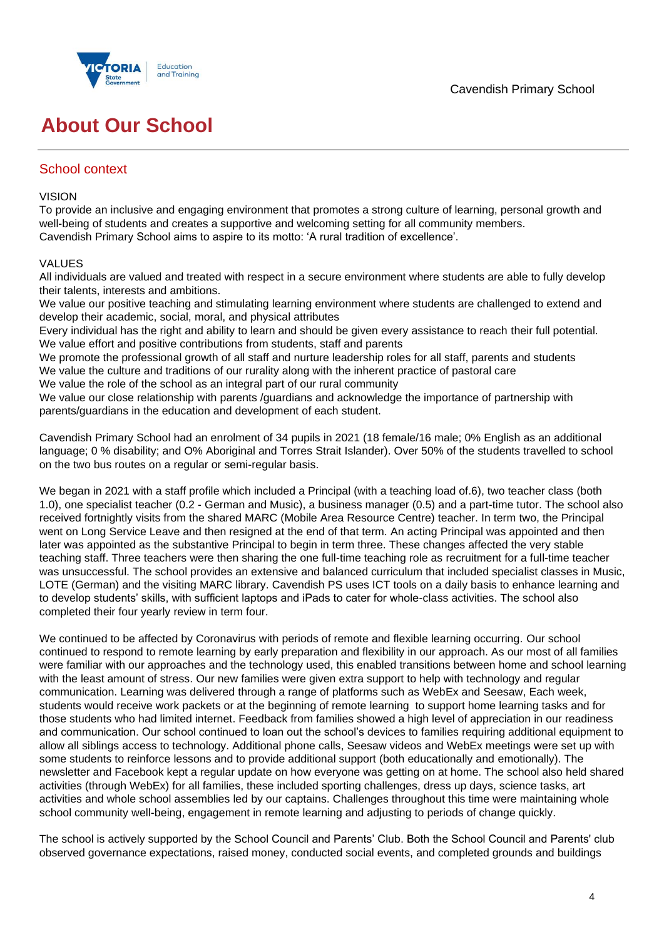

# **About Our School**

### School context

### VISION

To provide an inclusive and engaging environment that promotes a strong culture of learning, personal growth and well-being of students and creates a supportive and welcoming setting for all community members. Cavendish Primary School aims to aspire to its motto: 'A rural tradition of excellence'.

### VALUES

All individuals are valued and treated with respect in a secure environment where students are able to fully develop their talents, interests and ambitions.

We value our positive teaching and stimulating learning environment where students are challenged to extend and develop their academic, social, moral, and physical attributes

Every individual has the right and ability to learn and should be given every assistance to reach their full potential. We value effort and positive contributions from students, staff and parents

We promote the professional growth of all staff and nurture leadership roles for all staff, parents and students We value the culture and traditions of our rurality along with the inherent practice of pastoral care

We value the role of the school as an integral part of our rural community

We value our close relationship with parents /quardians and acknowledge the importance of partnership with parents/guardians in the education and development of each student.

Cavendish Primary School had an enrolment of 34 pupils in 2021 (18 female/16 male; 0% English as an additional language; 0 % disability; and O% Aboriginal and Torres Strait Islander). Over 50% of the students travelled to school on the two bus routes on a regular or semi-regular basis.

We began in 2021 with a staff profile which included a Principal (with a teaching load of.6), two teacher class (both 1.0), one specialist teacher (0.2 - German and Music), a business manager (0.5) and a part-time tutor. The school also received fortnightly visits from the shared MARC (Mobile Area Resource Centre) teacher. In term two, the Principal went on Long Service Leave and then resigned at the end of that term. An acting Principal was appointed and then later was appointed as the substantive Principal to begin in term three. These changes affected the very stable teaching staff. Three teachers were then sharing the one full-time teaching role as recruitment for a full-time teacher was unsuccessful. The school provides an extensive and balanced curriculum that included specialist classes in Music, LOTE (German) and the visiting MARC library. Cavendish PS uses ICT tools on a daily basis to enhance learning and to develop students' skills, with sufficient laptops and iPads to cater for whole-class activities. The school also completed their four yearly review in term four.

We continued to be affected by Coronavirus with periods of remote and flexible learning occurring. Our school continued to respond to remote learning by early preparation and flexibility in our approach. As our most of all families were familiar with our approaches and the technology used, this enabled transitions between home and school learning with the least amount of stress. Our new families were given extra support to help with technology and regular communication. Learning was delivered through a range of platforms such as WebEx and Seesaw, Each week, students would receive work packets or at the beginning of remote learning to support home learning tasks and for those students who had limited internet. Feedback from families showed a high level of appreciation in our readiness and communication. Our school continued to loan out the school's devices to families requiring additional equipment to allow all siblings access to technology. Additional phone calls, Seesaw videos and WebEx meetings were set up with some students to reinforce lessons and to provide additional support (both educationally and emotionally). The newsletter and Facebook kept a regular update on how everyone was getting on at home. The school also held shared activities (through WebEx) for all families, these included sporting challenges, dress up days, science tasks, art activities and whole school assemblies led by our captains. Challenges throughout this time were maintaining whole school community well-being, engagement in remote learning and adjusting to periods of change quickly.

The school is actively supported by the School Council and Parents' Club. Both the School Council and Parents' club observed governance expectations, raised money, conducted social events, and completed grounds and buildings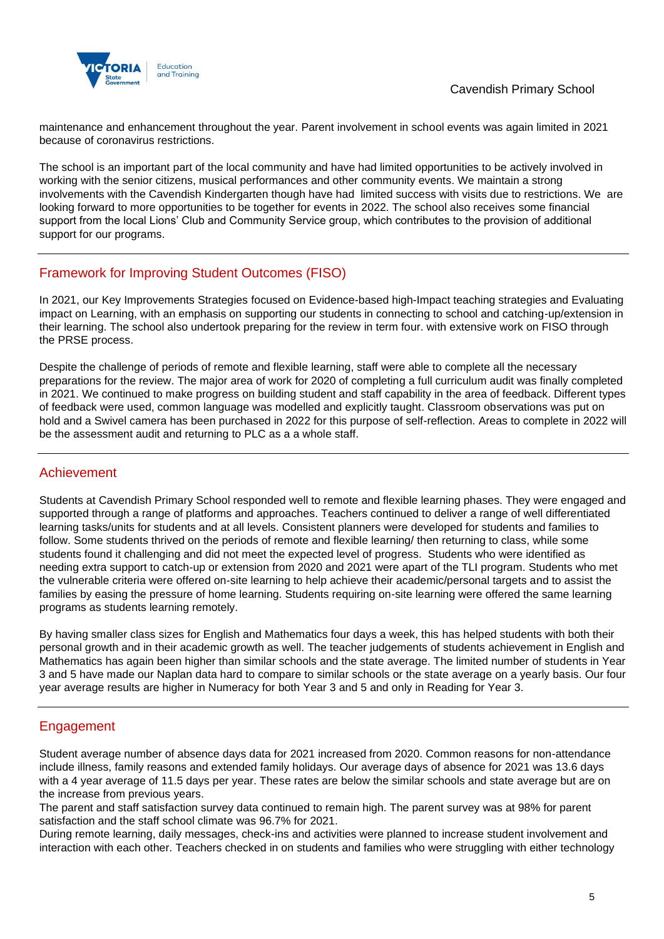

maintenance and enhancement throughout the year. Parent involvement in school events was again limited in 2021 because of coronavirus restrictions.

The school is an important part of the local community and have had limited opportunities to be actively involved in working with the senior citizens, musical performances and other community events. We maintain a strong involvements with the Cavendish Kindergarten though have had limited success with visits due to restrictions. We are looking forward to more opportunities to be together for events in 2022. The school also receives some financial support from the local Lions' Club and Community Service group, which contributes to the provision of additional support for our programs.

## Framework for Improving Student Outcomes (FISO)

In 2021, our Key Improvements Strategies focused on Evidence-based high-Impact teaching strategies and Evaluating impact on Learning, with an emphasis on supporting our students in connecting to school and catching-up/extension in their learning. The school also undertook preparing for the review in term four. with extensive work on FISO through the PRSE process.

Despite the challenge of periods of remote and flexible learning, staff were able to complete all the necessary preparations for the review. The major area of work for 2020 of completing a full curriculum audit was finally completed in 2021. We continued to make progress on building student and staff capability in the area of feedback. Different types of feedback were used, common language was modelled and explicitly taught. Classroom observations was put on hold and a Swivel camera has been purchased in 2022 for this purpose of self-reflection. Areas to complete in 2022 will be the assessment audit and returning to PLC as a a whole staff.

### Achievement

Students at Cavendish Primary School responded well to remote and flexible learning phases. They were engaged and supported through a range of platforms and approaches. Teachers continued to deliver a range of well differentiated learning tasks/units for students and at all levels. Consistent planners were developed for students and families to follow. Some students thrived on the periods of remote and flexible learning/ then returning to class, while some students found it challenging and did not meet the expected level of progress. Students who were identified as needing extra support to catch-up or extension from 2020 and 2021 were apart of the TLI program. Students who met the vulnerable criteria were offered on-site learning to help achieve their academic/personal targets and to assist the families by easing the pressure of home learning. Students requiring on-site learning were offered the same learning programs as students learning remotely.

By having smaller class sizes for English and Mathematics four days a week, this has helped students with both their personal growth and in their academic growth as well. The teacher judgements of students achievement in English and Mathematics has again been higher than similar schools and the state average. The limited number of students in Year 3 and 5 have made our Naplan data hard to compare to similar schools or the state average on a yearly basis. Our four year average results are higher in Numeracy for both Year 3 and 5 and only in Reading for Year 3.

## Engagement

Student average number of absence days data for 2021 increased from 2020. Common reasons for non-attendance include illness, family reasons and extended family holidays. Our average days of absence for 2021 was 13.6 days with a 4 year average of 11.5 days per year. These rates are below the similar schools and state average but are on the increase from previous years.

The parent and staff satisfaction survey data continued to remain high. The parent survey was at 98% for parent satisfaction and the staff school climate was 96.7% for 2021.

During remote learning, daily messages, check-ins and activities were planned to increase student involvement and interaction with each other. Teachers checked in on students and families who were struggling with either technology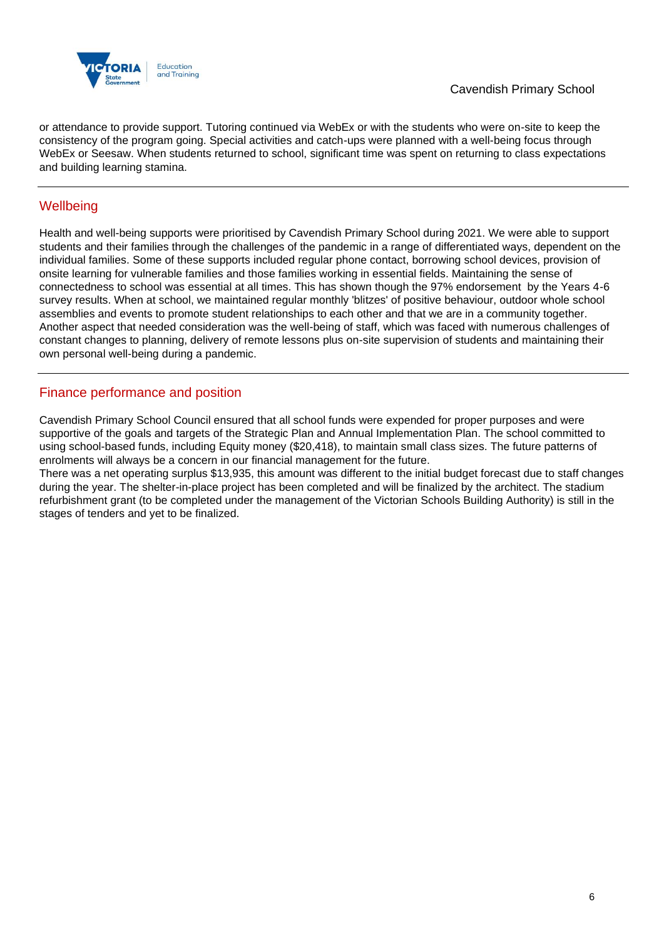

or attendance to provide support. Tutoring continued via WebEx or with the students who were on-site to keep the consistency of the program going. Special activities and catch-ups were planned with a well-being focus through WebEx or Seesaw. When students returned to school, significant time was spent on returning to class expectations and building learning stamina.

## **Wellbeing**

Health and well-being supports were prioritised by Cavendish Primary School during 2021. We were able to support students and their families through the challenges of the pandemic in a range of differentiated ways, dependent on the individual families. Some of these supports included regular phone contact, borrowing school devices, provision of onsite learning for vulnerable families and those families working in essential fields. Maintaining the sense of connectedness to school was essential at all times. This has shown though the 97% endorsement by the Years 4-6 survey results. When at school, we maintained regular monthly 'blitzes' of positive behaviour, outdoor whole school assemblies and events to promote student relationships to each other and that we are in a community together. Another aspect that needed consideration was the well-being of staff, which was faced with numerous challenges of constant changes to planning, delivery of remote lessons plus on-site supervision of students and maintaining their own personal well-being during a pandemic.

### Finance performance and position

Cavendish Primary School Council ensured that all school funds were expended for proper purposes and were supportive of the goals and targets of the Strategic Plan and Annual Implementation Plan. The school committed to using school-based funds, including Equity money (\$20,418), to maintain small class sizes. The future patterns of enrolments will always be a concern in our financial management for the future.

There was a net operating surplus \$13,935, this amount was different to the initial budget forecast due to staff changes during the year. The shelter-in-place project has been completed and will be finalized by the architect. The stadium refurbishment grant (to be completed under the management of the Victorian Schools Building Authority) is still in the stages of tenders and yet to be finalized.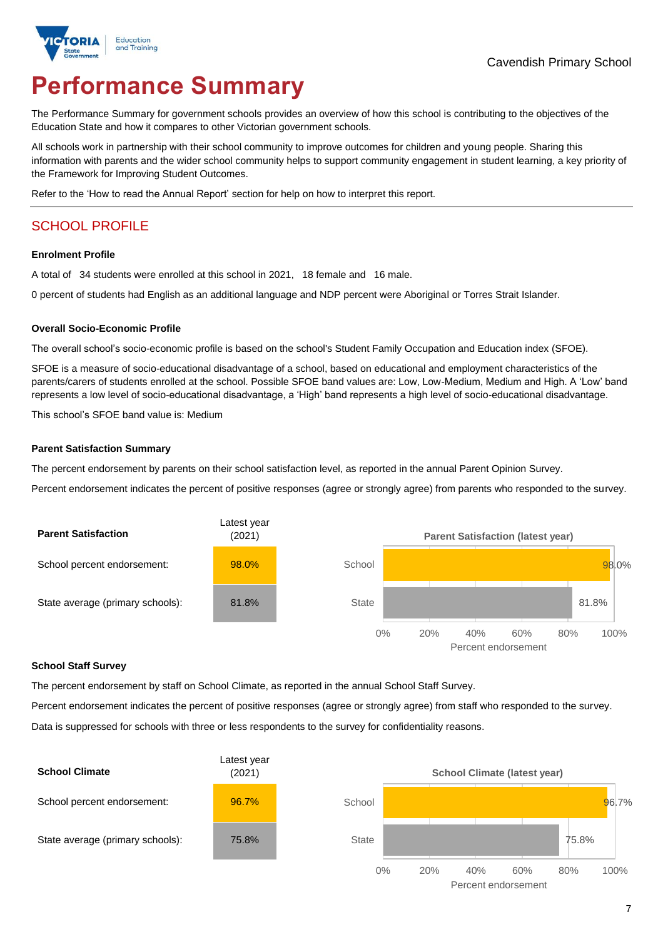

# **Performance Summary**

The Performance Summary for government schools provides an overview of how this school is contributing to the objectives of the Education State and how it compares to other Victorian government schools.

All schools work in partnership with their school community to improve outcomes for children and young people. Sharing this information with parents and the wider school community helps to support community engagement in student learning, a key priority of the Framework for Improving Student Outcomes.

Refer to the 'How to read the Annual Report' section for help on how to interpret this report.

# SCHOOL PROFILE

#### **Enrolment Profile**

A total of 34 students were enrolled at this school in 2021, 18 female and 16 male.

0 percent of students had English as an additional language and NDP percent were Aboriginal or Torres Strait Islander.

#### **Overall Socio-Economic Profile**

The overall school's socio-economic profile is based on the school's Student Family Occupation and Education index (SFOE).

SFOE is a measure of socio-educational disadvantage of a school, based on educational and employment characteristics of the parents/carers of students enrolled at the school. Possible SFOE band values are: Low, Low-Medium, Medium and High. A 'Low' band represents a low level of socio-educational disadvantage, a 'High' band represents a high level of socio-educational disadvantage.

This school's SFOE band value is: Medium

#### **Parent Satisfaction Summary**

The percent endorsement by parents on their school satisfaction level, as reported in the annual Parent Opinion Survey.

Percent endorsement indicates the percent of positive responses (agree or strongly agree) from parents who responded to the survey.



### **School Staff Survey**

The percent endorsement by staff on School Climate, as reported in the annual School Staff Survey.

Percent endorsement indicates the percent of positive responses (agree or strongly agree) from staff who responded to the survey.

Data is suppressed for schools with three or less respondents to the survey for confidentiality reasons.

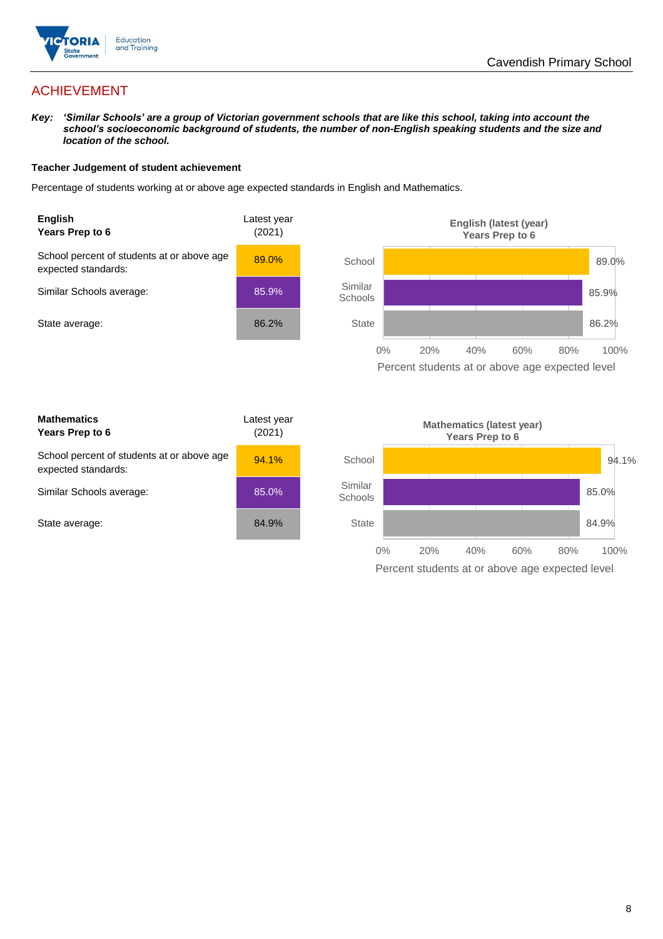

# ACHIEVEMENT

*Key: 'Similar Schools' are a group of Victorian government schools that are like this school, taking into account the school's socioeconomic background of students, the number of non-English speaking students and the size and location of the school.*

### **Teacher Judgement of student achievement**

Percentage of students working at or above age expected standards in English and Mathematics.





| <b>Mathematics</b><br>Years Prep to 6                             | Latest year<br>(2021) |
|-------------------------------------------------------------------|-----------------------|
| School percent of students at or above age<br>expected standards: | 94.1%                 |
| Similar Schools average:                                          | 85.0%                 |
| State average:                                                    | 84.9%                 |

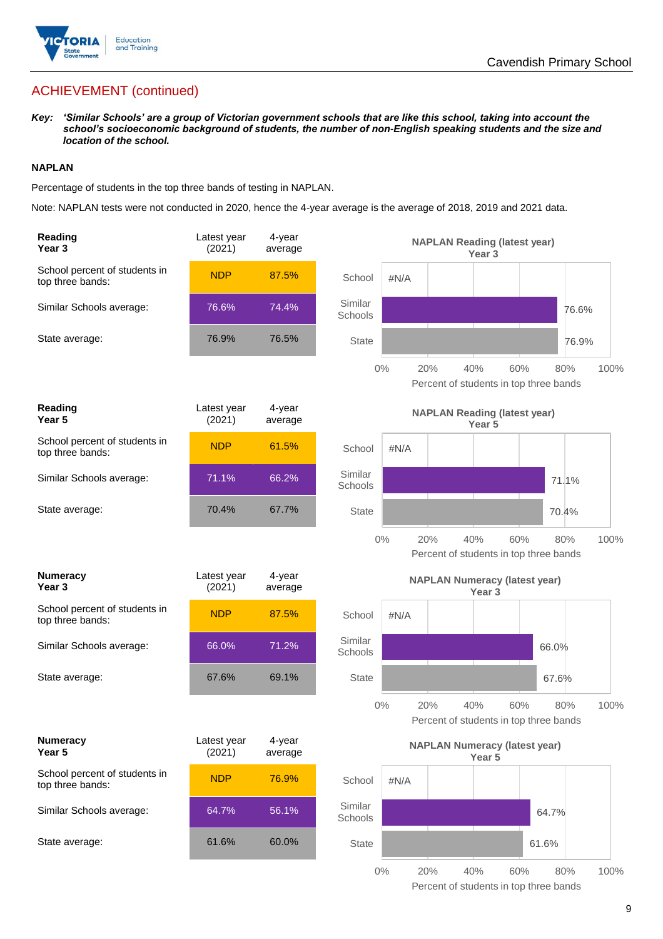

# ACHIEVEMENT (continued)

*Key: 'Similar Schools' are a group of Victorian government schools that are like this school, taking into account the school's socioeconomic background of students, the number of non-English speaking students and the size and location of the school.*

### **NAPLAN**

Percentage of students in the top three bands of testing in NAPLAN.

Note: NAPLAN tests were not conducted in 2020, hence the 4-year average is the average of 2018, 2019 and 2021 data.

| Reading<br>Year <sub>3</sub>                      | Latest year<br>(2021) | 4-year<br>average |                                               |       | <b>NAPLAN Reading (latest year)</b>  | Year 3            |     |                                               |       |
|---------------------------------------------------|-----------------------|-------------------|-----------------------------------------------|-------|--------------------------------------|-------------------|-----|-----------------------------------------------|-------|
| School percent of students in<br>top three bands: | <b>NDP</b>            | 87.5%             | School                                        | #N/A  |                                      |                   |     |                                               |       |
| Similar Schools average:                          | 76.6%                 | 74.4%             | Similar<br>Schools                            |       |                                      |                   |     |                                               | 76.6% |
| State average:                                    | 76.9%                 | 76.5%             | <b>State</b>                                  |       |                                      |                   |     |                                               | 76.9% |
|                                                   |                       |                   |                                               | $0\%$ | 20%                                  | 40%               | 60% | 80%<br>Percent of students in top three bands | 100%  |
| Reading<br>Year <sub>5</sub>                      | Latest year<br>(2021) | 4-year<br>average | <b>NAPLAN Reading (latest year)</b><br>Year 5 |       |                                      |                   |     |                                               |       |
| School percent of students in<br>top three bands: | <b>NDP</b>            | 61.5%             | School                                        | #N/A  |                                      |                   |     |                                               |       |
| Similar Schools average:                          | 71.1%                 | 66.2%             | Similar<br>Schools                            |       |                                      |                   |     | 71.1%                                         |       |
| State average:                                    | 70.4%                 | 67.7%             | <b>State</b>                                  |       |                                      |                   |     | 70.4%                                         |       |
|                                                   |                       |                   |                                               | $0\%$ | 20%                                  | 40%               | 60% | 80%<br>Percent of students in top three bands | 100%  |
|                                                   |                       |                   |                                               |       |                                      |                   |     |                                               |       |
| <b>Numeracy</b><br>Year <sub>3</sub>              | Latest year<br>(2021) | 4-year<br>average |                                               |       | <b>NAPLAN Numeracy (latest year)</b> | Year <sub>3</sub> |     |                                               |       |
| School percent of students in<br>top three bands: | <b>NDP</b>            | 87.5%             | School                                        | #N/A  |                                      |                   |     |                                               |       |
| Similar Schools average:                          | 66.0%                 | 71.2%             | Similar<br>Schools                            |       |                                      |                   |     | 66.0%                                         |       |
| State average:                                    | 67.6%                 | 69.1%             | <b>State</b>                                  |       |                                      |                   |     | 67.6%                                         |       |
|                                                   |                       |                   |                                               | $0\%$ | 20%                                  | 40%               | 60% | 80%<br>Percent of students in top three bands | 100%  |
| <b>Numeracy</b><br>Year 5                         | Latest year<br>(2021) | 4-year<br>average |                                               |       | <b>NAPLAN Numeracy (latest year)</b> | Year 5            |     |                                               |       |
| School percent of students in<br>top three bands: | <b>NDP</b>            | 76.9%             | School                                        | #N/A  |                                      |                   |     |                                               |       |
| Similar Schools average:                          | 64.7%                 | 56.1%             | Similar<br>Schools                            |       |                                      |                   |     | 64.7%                                         |       |
| State average:                                    | 61.6%                 | 60.0%             | <b>State</b>                                  |       |                                      |                   |     | 61.6%                                         |       |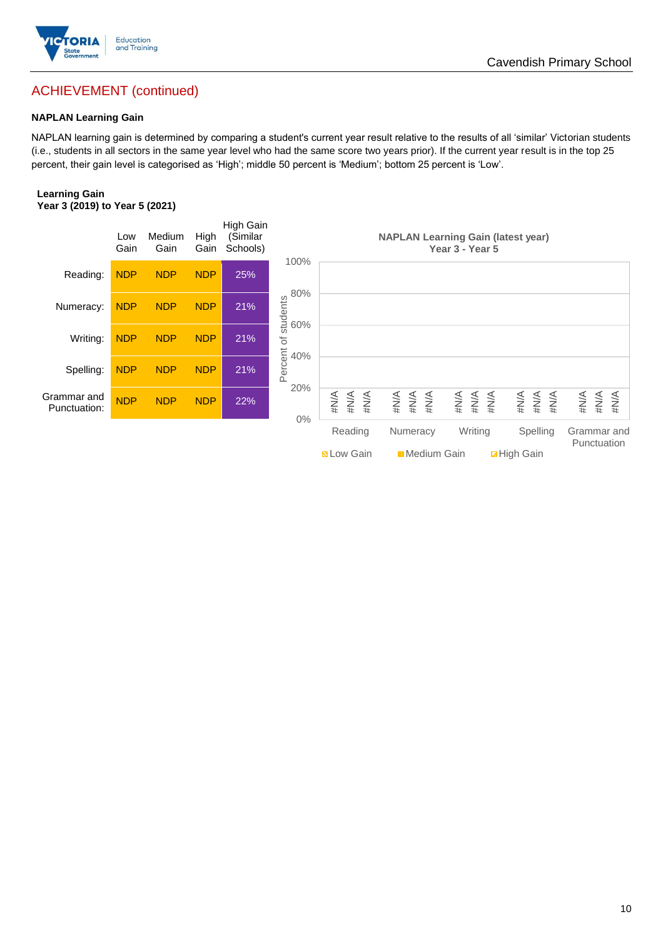

# ACHIEVEMENT (continued)

### **NAPLAN Learning Gain**

NAPLAN learning gain is determined by comparing a student's current year result relative to the results of all 'similar' Victorian students (i.e., students in all sectors in the same year level who had the same score two years prior). If the current year result is in the top 25 percent, their gain level is categorised as 'High'; middle 50 percent is 'Medium'; bottom 25 percent is 'Low'.

#### **Learning Gain Year 3 (2019) to Year 5 (2021)**

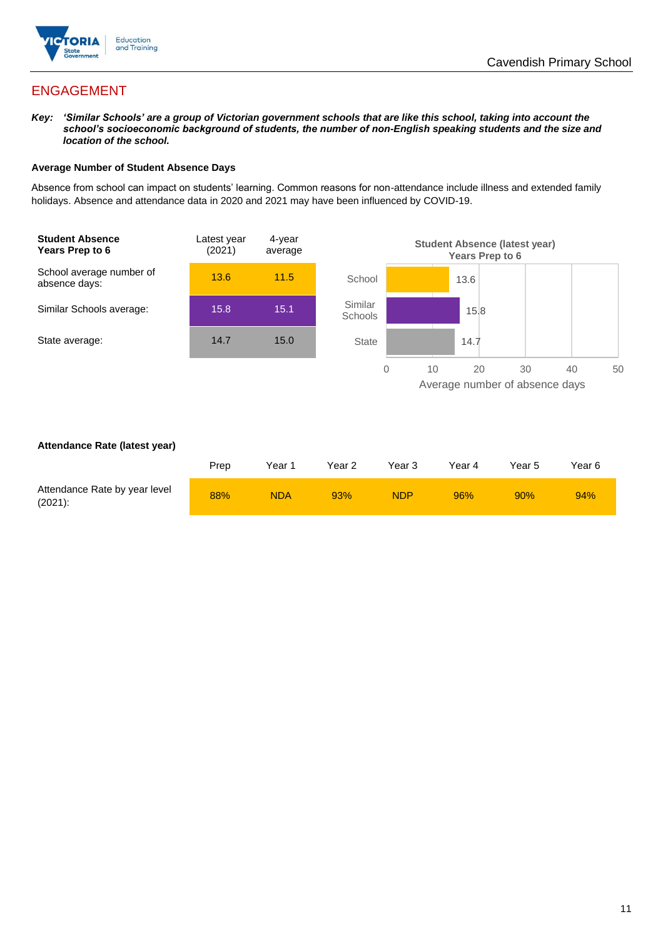

# ENGAGEMENT

*Key: 'Similar Schools' are a group of Victorian government schools that are like this school, taking into account the school's socioeconomic background of students, the number of non-English speaking students and the size and location of the school.*

### **Average Number of Student Absence Days**

Absence from school can impact on students' learning. Common reasons for non-attendance include illness and extended family holidays. Absence and attendance data in 2020 and 2021 may have been influenced by COVID-19.



### **Attendance Rate (latest year)**

|                                             | Prep | Year 1     | Year 2 | Year 3     | Year 4 | Year 5 | Year 6 |
|---------------------------------------------|------|------------|--------|------------|--------|--------|--------|
| Attendance Rate by year level<br>$(2021)$ : | 88%  | <b>NDA</b> | 93%    | <b>NDP</b> | 96%    | 90%    | 94%    |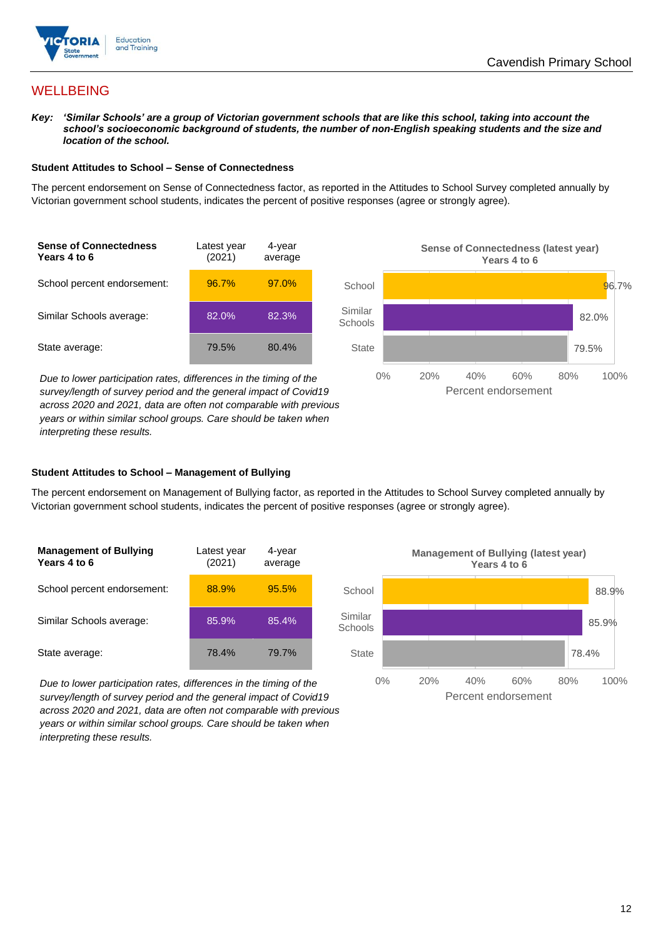

## **WELLBEING**

*Key: 'Similar Schools' are a group of Victorian government schools that are like this school, taking into account the*  school's socioeconomic background of students, the number of non-English speaking students and the size and *location of the school.*

#### **Student Attitudes to School – Sense of Connectedness**

The percent endorsement on Sense of Connectedness factor, as reported in the Attitudes to School Survey completed annually by Victorian government school students, indicates the percent of positive responses (agree or strongly agree).



*Due to lower participation rates, differences in the timing of the survey/length of survey period and the general impact of Covid19 across 2020 and 2021, data are often not comparable with previous years or within similar school groups. Care should be taken when interpreting these results.*



### **Student Attitudes to School – Management of Bullying**

The percent endorsement on Management of Bullying factor, as reported in the Attitudes to School Survey completed annually by Victorian government school students, indicates the percent of positive responses (agree or strongly agree).

| <b>Management of Bullying</b><br>Years 4 to 6 | Latest year<br>(2021) | 4-year<br>average |  |
|-----------------------------------------------|-----------------------|-------------------|--|
| School percent endorsement:                   | 88.9%                 | 95.5%             |  |
| Similar Schools average:                      | 85.9%                 | 85.4%             |  |
| State average:                                | 78.4%                 | 79.7%             |  |

*Due to lower participation rates, differences in the timing of the survey/length of survey period and the general impact of Covid19 across 2020 and 2021, data are often not comparable with previous years or within similar school groups. Care should be taken when interpreting these results.*

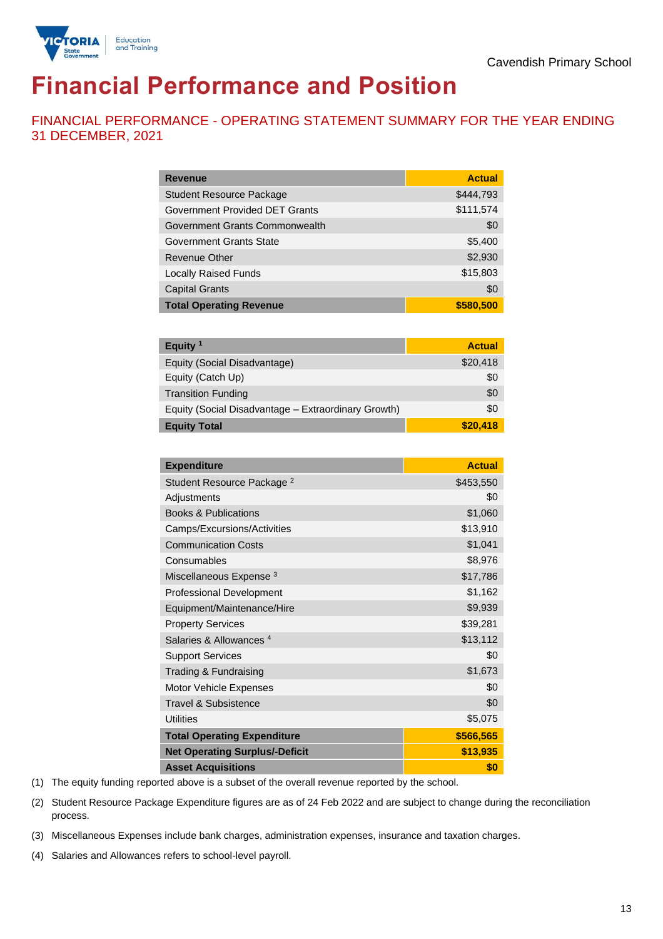

# **Financial Performance and Position**

FINANCIAL PERFORMANCE - OPERATING STATEMENT SUMMARY FOR THE YEAR ENDING 31 DECEMBER, 2021

| <b>Revenue</b>                  | <b>Actual</b> |
|---------------------------------|---------------|
| <b>Student Resource Package</b> | \$444,793     |
| Government Provided DET Grants  | \$111,574     |
| Government Grants Commonwealth  | \$0           |
| <b>Government Grants State</b>  | \$5,400       |
| <b>Revenue Other</b>            | \$2,930       |
| <b>Locally Raised Funds</b>     | \$15,803      |
| <b>Capital Grants</b>           | \$0           |
| <b>Total Operating Revenue</b>  | \$580,500     |

| Equity $1$                                          | <b>Actual</b> |
|-----------------------------------------------------|---------------|
| Equity (Social Disadvantage)                        | \$20,418      |
| Equity (Catch Up)                                   | \$0           |
| <b>Transition Funding</b>                           | \$0           |
| Equity (Social Disadvantage - Extraordinary Growth) | \$0           |
| <b>Equity Total</b>                                 | \$20,418      |

| <b>Expenditure</b>                    | <b>Actual</b> |
|---------------------------------------|---------------|
| Student Resource Package <sup>2</sup> | \$453,550     |
| Adjustments                           | \$0           |
| <b>Books &amp; Publications</b>       | \$1,060       |
| Camps/Excursions/Activities           | \$13,910      |
| <b>Communication Costs</b>            | \$1,041       |
| Consumables                           | \$8,976       |
| Miscellaneous Expense <sup>3</sup>    | \$17,786      |
| <b>Professional Development</b>       | \$1,162       |
| Equipment/Maintenance/Hire            | \$9,939       |
| <b>Property Services</b>              | \$39,281      |
| Salaries & Allowances <sup>4</sup>    | \$13,112      |
| <b>Support Services</b>               | \$0           |
| Trading & Fundraising                 | \$1,673       |
| Motor Vehicle Expenses                | \$0           |
| Travel & Subsistence                  | \$0           |
| <b>Utilities</b>                      | \$5,075       |
| <b>Total Operating Expenditure</b>    | \$566,565     |
| <b>Net Operating Surplus/-Deficit</b> | \$13,935      |
| <b>Asset Acquisitions</b>             | \$0           |

(1) The equity funding reported above is a subset of the overall revenue reported by the school.

(2) Student Resource Package Expenditure figures are as of 24 Feb 2022 and are subject to change during the reconciliation process.

(3) Miscellaneous Expenses include bank charges, administration expenses, insurance and taxation charges.

(4) Salaries and Allowances refers to school-level payroll.